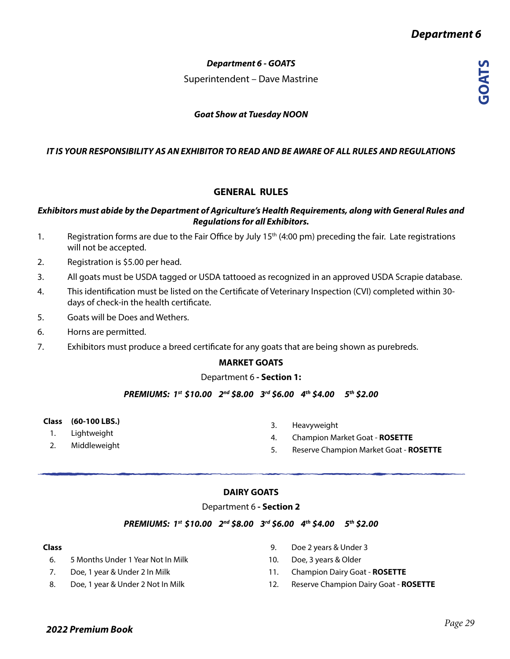**GOATS**

# *Department 6 - GOATS*

Superintendent – Dave Mastrine

# *Goat Show at Tuesday NOON*

# *IT IS YOUR RESPONSIBILITY AS AN EXHIBITOR TO READ AND BE AWARE OF ALL RULES AND REGULATIONS*

# **GENERAL RULES**

## *Exhibitors must abide by the Department of Agriculture's Health Requirements, along with General Rules and Regulations for all Exhibitors.*

- 1. Registration forms are due to the Fair Office by July 15<sup>th</sup> (4:00 pm) preceding the fair. Late registrations will not be accepted.
- 2. Registration is \$5.00 per head.
- 3. All goats must be USDA tagged or USDA tattooed as recognized in an approved USDA Scrapie database.
- 4. This identification must be listed on the Certificate of Veterinary Inspection (CVI) completed within 30 days of check-in the health certificate.
- 5. Goats will be Does and Wethers.
- 6. Horns are permitted.
- 7. Exhibitors must produce a breed certificate for any goats that are being shown as purebreds.

### **MARKET GOATS**

#### Department 6 **- Section 1:**

*PREMIUMS: 1st \$10.00 2nd \$8.00 3rd \$6.00 4th \$4.00 5th \$2.00* 

- **Class (60-100 LBS.)**
	- 1. Lightweight
- 2. Middleweight
- 3. Heavyweight
- 4. Champion Market Goat **ROSETTE**
- 5. Reserve Champion Market Goat **ROSETTE**

#### **DAIRY GOATS**

Department 6 **- Section 2**

#### *PREMIUMS: 1st \$10.00 2nd \$8.00 3rd \$6.00 4th \$4.00 5th \$2.00*

#### **Class**

- 6. 5 Months Under 1 Year Not In Milk
- 7. Doe, 1 year & Under 2 In Milk
- 8. Doe, 1 year & Under 2 Not In Milk
- 9. Doe 2 years & Under 3
- 10. Doe, 3 years & Older
- 11. Champion Dairy Goat **ROSETTE**
- 12. Reserve Champion Dairy Goat **ROSETTE**

# *2022 Premium Book*